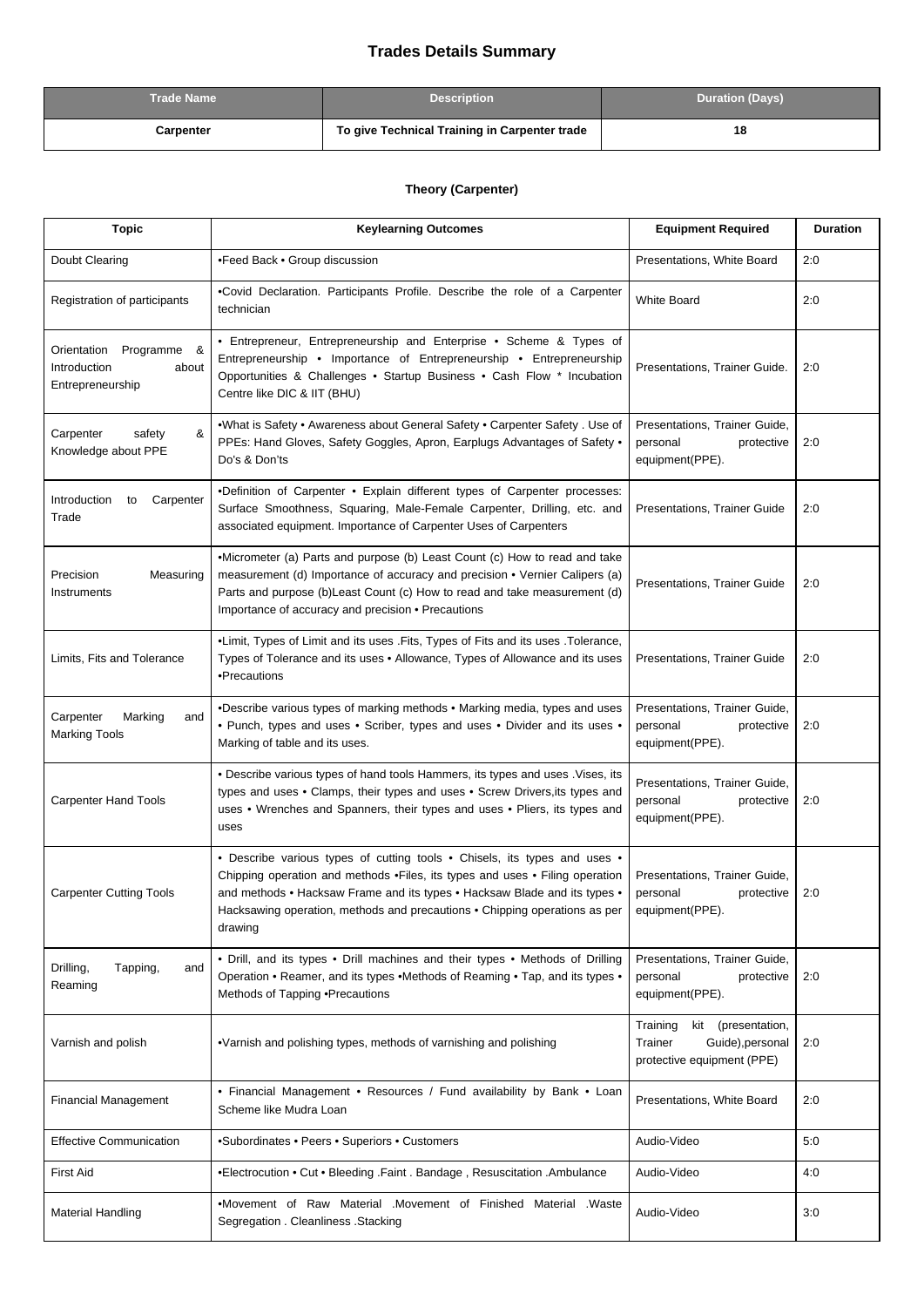## **Trades Details Summary**

| Trade Name | <b>Description</b>                            | <b>Duration (Days)</b> |
|------------|-----------------------------------------------|------------------------|
| Carpenter  | To give Technical Training in Carpenter trade | 18                     |

## **Theory (Carpenter)**

| <b>Topic</b>                                                            | <b>Keylearning Outcomes</b>                                                                                                                                                                                                                                                                                                     | <b>Equipment Required</b>                                                                      | <b>Duration</b> |
|-------------------------------------------------------------------------|---------------------------------------------------------------------------------------------------------------------------------------------------------------------------------------------------------------------------------------------------------------------------------------------------------------------------------|------------------------------------------------------------------------------------------------|-----------------|
| Doubt Clearing                                                          | •Feed Back • Group discussion                                                                                                                                                                                                                                                                                                   | Presentations, White Board                                                                     | 2:0             |
| Registration of participants                                            | .Covid Declaration. Participants Profile. Describe the role of a Carpenter<br>technician                                                                                                                                                                                                                                        | <b>White Board</b>                                                                             | 2:0             |
| Orientation<br>Programme &<br>Introduction<br>about<br>Entrepreneurship | • Entrepreneur, Entrepreneurship and Enterprise • Scheme & Types of<br>Entrepreneurship • Importance of Entrepreneurship • Entrepreneurship<br>Opportunities & Challenges . Startup Business . Cash Flow * Incubation<br>Centre like DIC & IIT (BHU)                                                                            | Presentations, Trainer Guide.                                                                  | 2:0             |
| &<br>Carpenter<br>safety<br>Knowledge about PPE                         | •What is Safety • Awareness about General Safety • Carpenter Safety . Use of<br>PPEs: Hand Gloves, Safety Goggles, Apron, Earplugs Advantages of Safety .<br>Do's & Don'ts                                                                                                                                                      | Presentations, Trainer Guide,<br>personal<br>protective<br>equipment(PPE).                     | 2:0             |
| Introduction<br>Carpenter<br>to<br>Trade                                | .Definition of Carpenter . Explain different types of Carpenter processes:<br>Surface Smoothness, Squaring, Male-Female Carpenter, Drilling, etc. and<br>associated equipment. Importance of Carpenter Uses of Carpenters                                                                                                       | Presentations, Trainer Guide                                                                   | 2:0             |
| Precision<br>Measuring<br>Instruments                                   | •Micrometer (a) Parts and purpose (b) Least Count (c) How to read and take<br>measurement (d) Importance of accuracy and precision • Vernier Calipers (a)<br>Parts and purpose (b) Least Count (c) How to read and take measurement (d)<br>Importance of accuracy and precision • Precautions                                   | Presentations, Trainer Guide                                                                   | 2:0             |
| Limits, Fits and Tolerance                                              | •Limit, Types of Limit and its uses . Fits, Types of Fits and its uses . Tolerance,<br>Types of Tolerance and its uses . Allowance, Types of Allowance and its uses<br>•Precautions                                                                                                                                             | Presentations, Trainer Guide                                                                   | 2:0             |
| Carpenter<br>Marking<br>and<br><b>Marking Tools</b>                     | •Describe various types of marking methods • Marking media, types and uses<br>• Punch, types and uses • Scriber, types and uses • Divider and its uses •<br>Marking of table and its uses.                                                                                                                                      | Presentations, Trainer Guide,<br>personal<br>protective<br>equipment(PPE).                     | 2:0             |
| <b>Carpenter Hand Tools</b>                                             | . Describe various types of hand tools Hammers, its types and uses . Vises, its<br>types and uses . Clamps, their types and uses . Screw Drivers, its types and<br>uses . Wrenches and Spanners, their types and uses . Pliers, its types and<br>uses                                                                           | Presentations, Trainer Guide,<br>personal<br>protective<br>equipment(PPE).                     | 2:0             |
| <b>Carpenter Cutting Tools</b>                                          | • Describe various types of cutting tools • Chisels, its types and uses •<br>Chipping operation and methods .Files, its types and uses . Filing operation<br>and methods • Hacksaw Frame and its types • Hacksaw Blade and its types •<br>Hacksawing operation, methods and precautions . Chipping operations as per<br>drawing | Presentations, Trainer Guide,<br>protective<br>personal<br>equipment(PPE).                     | 2:0             |
| Drilling,<br>Tapping,<br>and<br>Reaming                                 | • Drill, and its types • Drill machines and their types • Methods of Drilling<br>Operation . Reamer, and its types . Methods of Reaming . Tap, and its types .<br>Methods of Tapping . Precautions                                                                                                                              | Presentations, Trainer Guide,<br>personal<br>protective<br>equipment(PPE).                     | 2:0             |
| Varnish and polish                                                      | •Varnish and polishing types, methods of varnishing and polishing                                                                                                                                                                                                                                                               | Training<br>kit<br>(presentation,<br>Trainer<br>Guide), personal<br>protective equipment (PPE) | 2:0             |
| <b>Financial Management</b>                                             | • Financial Management • Resources / Fund availability by Bank • Loan<br>Scheme like Mudra Loan                                                                                                                                                                                                                                 | Presentations, White Board                                                                     | 2:0             |
| <b>Effective Communication</b>                                          | •Subordinates • Peers • Superiors • Customers                                                                                                                                                                                                                                                                                   | Audio-Video                                                                                    | 5:0             |
| <b>First Aid</b>                                                        | •Electrocution • Cut • Bleeding .Faint . Bandage, Resuscitation .Ambulance                                                                                                                                                                                                                                                      | Audio-Video                                                                                    | 4:0             |
| <b>Material Handling</b>                                                | •Movement of Raw Material .Movement of Finished Material .Waste<br>Segregation . Cleanliness . Stacking                                                                                                                                                                                                                         | Audio-Video                                                                                    | 3:0             |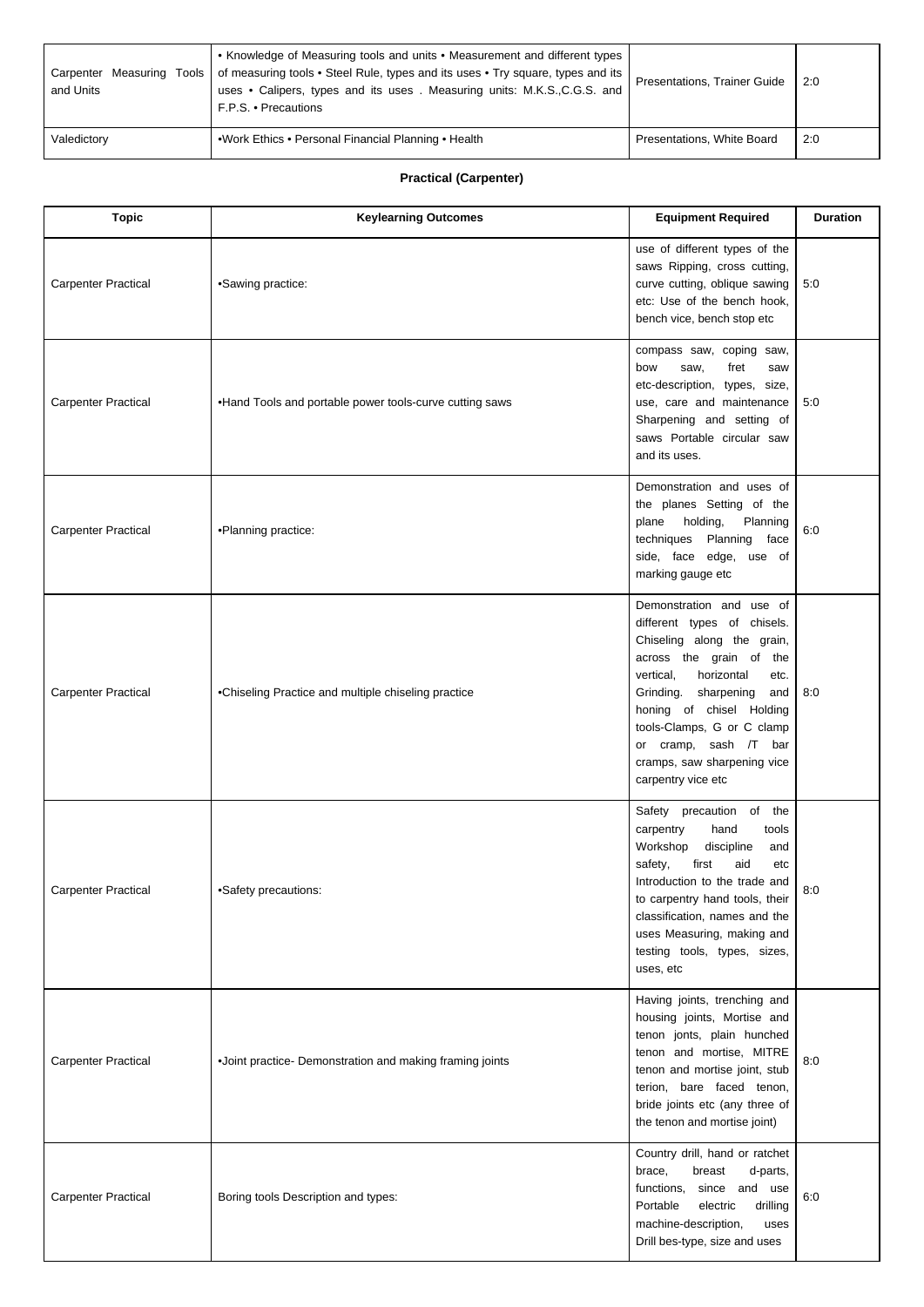| and Units   | • Knowledge of Measuring tools and units • Measurement and different types<br>Carpenter Measuring Tools   of measuring tools • Steel Rule, types and its uses • Try square, types and its<br>uses . Calipers, types and its uses . Measuring units: M.K.S.,C.G.S. and<br>F.P.S. • Precautions | Presentations, Trainer Guide | 2:0 |
|-------------|-----------------------------------------------------------------------------------------------------------------------------------------------------------------------------------------------------------------------------------------------------------------------------------------------|------------------------------|-----|
| Valedictory | .Work Ethics . Personal Financial Planning . Health                                                                                                                                                                                                                                           | Presentations, White Board   | 2:0 |

## **Practical (Carpenter)**

| <b>Topic</b>               | <b>Keylearning Outcomes</b>                              | <b>Equipment Required</b>                                                                                                                                                                                                                                                                                                  | <b>Duration</b> |
|----------------------------|----------------------------------------------------------|----------------------------------------------------------------------------------------------------------------------------------------------------------------------------------------------------------------------------------------------------------------------------------------------------------------------------|-----------------|
| <b>Carpenter Practical</b> | •Sawing practice:                                        | use of different types of the<br>saws Ripping, cross cutting,<br>curve cutting, oblique sawing<br>etc: Use of the bench hook,<br>bench vice, bench stop etc                                                                                                                                                                | 5:0             |
| <b>Carpenter Practical</b> | . Hand Tools and portable power tools-curve cutting saws | compass saw, coping saw,<br>bow<br>fret<br>saw,<br>saw<br>etc-description, types, size,<br>use, care and maintenance<br>Sharpening and setting of<br>saws Portable circular saw<br>and its uses.                                                                                                                           | 5:0             |
| <b>Carpenter Practical</b> | •Planning practice:                                      | Demonstration and uses of<br>the planes Setting of the<br>holding,<br>Planning<br>plane<br>techniques Planning face<br>side, face edge, use of<br>marking gauge etc                                                                                                                                                        | 6:0             |
| <b>Carpenter Practical</b> | •Chiseling Practice and multiple chiseling practice      | Demonstration and use of<br>different types of chisels.<br>Chiseling along the grain,<br>across the grain of the<br>vertical,<br>horizontal<br>etc.<br>Grinding. sharpening<br>and<br>honing of chisel Holding<br>tools-Clamps, G or C clamp<br>or cramp, sash /T bar<br>cramps, saw sharpening vice<br>carpentry vice etc | 8:0             |
| <b>Carpenter Practical</b> | •Safety precautions:                                     | Safety precaution of the<br>carpentry<br>hand<br>tools<br>Workshop<br>discipline<br>and<br>safety,<br>first<br>aid<br>etc<br>Introduction to the trade and<br>to carpentry hand tools, their<br>classification, names and the<br>uses Measuring, making and<br>testing tools, types, sizes,<br>uses, etc                   | 8:0             |
| <b>Carpenter Practical</b> | .Joint practice- Demonstration and making framing joints | Having joints, trenching and<br>housing joints, Mortise and<br>tenon jonts, plain hunched<br>tenon and mortise, MITRE<br>tenon and mortise joint, stub<br>terion, bare faced tenon,<br>bride joints etc (any three of<br>the tenon and mortise joint)                                                                      | 8:0             |
| <b>Carpenter Practical</b> | Boring tools Description and types:                      | Country drill, hand or ratchet<br>brace,<br>breast<br>d-parts,<br>functions, since and use<br>Portable<br>electric<br>drilling<br>machine-description,<br>uses<br>Drill bes-type, size and uses                                                                                                                            | 6:0             |